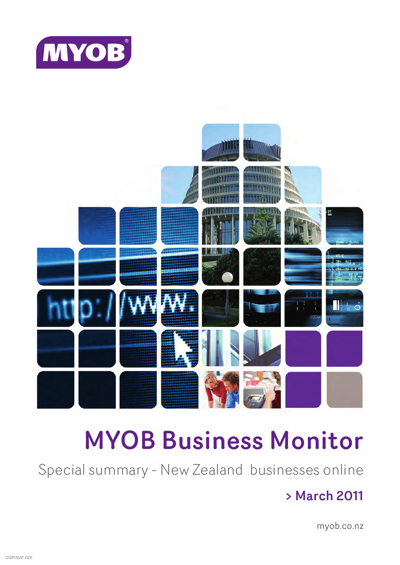



# MYOB Business Monitor

Special summary - New Zealand businesses online

## > March 2011

myob.co.nz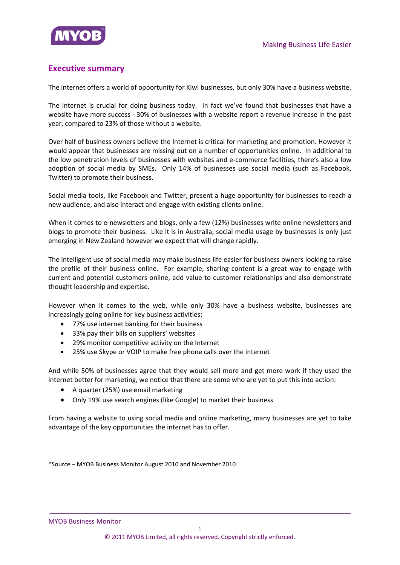<span id="page-1-0"></span>

## **Executive summary**

The internet offers a world of opportunity for Kiwi businesses, but only 30% have a business website.

The internet is crucial for doing business today. In fact we've found that businesses that have a website have more success ‐ 30% of businesses with a website report a revenue increase in the past year, compared to 23% of those without a website.

Over half of business owners believe the Internet is critical for marketing and promotion. However it would appear that businesses are missing out on a number of opportunities online. In additional to the low penetration levels of businesses with websites and e‐commerce facilities, there's also a low adoption of social media by SMEs. Only 14% of businesses use social media (such as Facebook, Twitter) to promote their business.

Social media tools, like Facebook and Twitter, present a huge opportunity for businesses to reach a new audience, and also interact and engage with existing clients online.

When it comes to e-newsletters and blogs, only a few (12%) businesses write online newsletters and blogs to promote their business. Like it is in Australia, social media usage by businesses is only just emerging in New Zealand however we expect that will change rapidly.

The intelligent use of social media may make business life easier for business owners looking to raise the profile of their business online. For example, sharing content is a great way to engage with current and potential customers online, add value to customer relationships and also demonstrate thought leadership and expertise.

However when it comes to the web, while only 30% have a business website, businesses are increasingly going online for key business activities:

- 77% use internet banking for their business
- 33% pay their bills on suppliers' websites
- 29% monitor competitive activity on the Internet
- 25% use Skype or VOIP to make free phone calls over the internet

And while 50% of businesses agree that they would sell more and get more work if they used the internet better for marketing, we notice that there are some who are yet to put this into action:

- A quarter (25%) use email marketing
- Only 19% use search engines (like Google) to market their business

From having a website to using social media and online marketing, many businesses are yet to take advantage of the key opportunities the internet has to offer.

\*Source – MYOB Business Monitor August 2010 and November 2010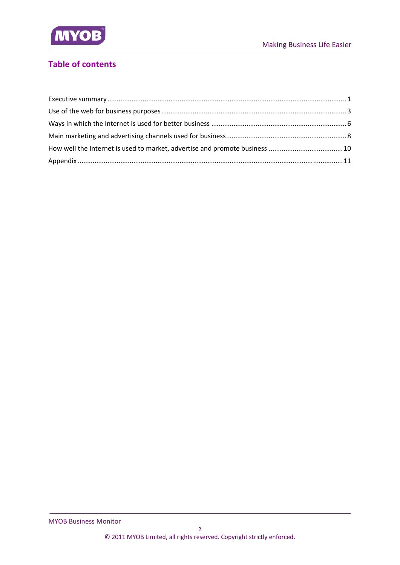

## **Table of contents**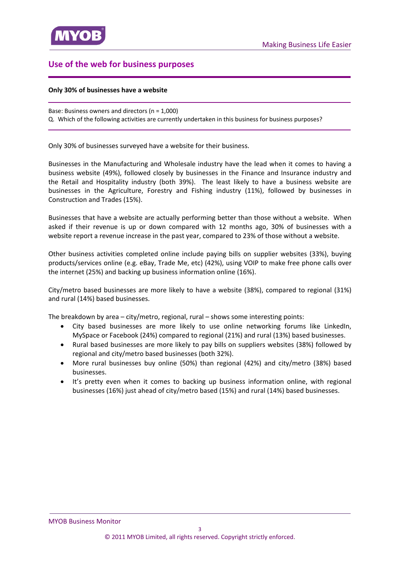### <span id="page-3-0"></span>**Use of the web for business purposes**

#### **Only 30% of businesses have a website**

Base: Business owners and directors (n = 1,000) Q. Which of the following activities are currently undertaken in this business for business purposes?

Only 30% of businesses surveyed have a website for their business.

Businesses in the Manufacturing and Wholesale industry have the lead when it comes to having a business website (49%), followed closely by businesses in the Finance and Insurance industry and the Retail and Hospitality industry (both 39%). The least likely to have a business website are businesses in the Agriculture, Forestry and Fishing industry (11%), followed by businesses in Construction and Trades (15%).

Businesses that have a website are actually performing better than those without a website. When asked if their revenue is up or down compared with 12 months ago, 30% of businesses with a website report a revenue increase in the past year, compared to 23% of those without a website.

Other business activities completed online include paying bills on supplier websites (33%), buying products/services online (e.g. eBay, Trade Me, etc) (42%), using VOIP to make free phone calls over the internet (25%) and backing up business information online (16%).

City/metro based businesses are more likely to have a website (38%), compared to regional (31%) and rural (14%) based businesses.

The breakdown by area – city/metro, regional, rural – shows some interesting points:

- City based businesses are more likely to use online networking forums like LinkedIn, MySpace or Facebook (24%) compared to regional (21%) and rural (13%) based businesses.
- Rural based businesses are more likely to pay bills on suppliers websites (38%) followed by regional and city/metro based businesses (both 32%).
- More rural businesses buy online (50%) than regional (42%) and city/metro (38%) based businesses.
- It's pretty even when it comes to backing up business information online, with regional businesses (16%) just ahead of city/metro based (15%) and rural (14%) based businesses.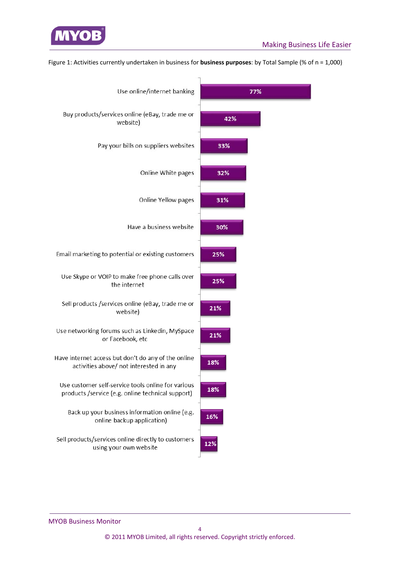

| Use online/internet banking                                                                             | 77% |
|---------------------------------------------------------------------------------------------------------|-----|
| Buy products/services online (eBay, trade me or<br>website)                                             | 42% |
| Pay your bills on suppliers websites                                                                    | 33% |
| Online White pages                                                                                      | 32% |
| Online Yellow pages                                                                                     | 31% |
| Have a business website                                                                                 | 30% |
| Email marketing to potential or existing customers                                                      | 25% |
| Use Skype or VOIP to make free phone calls over<br>the internet                                         | 25% |
| Sell products /services online (eBay, trade me or<br>website)                                           | 21% |
| Use networking forums such as Linkedin, MySpace<br>or Facebook, etc                                     | 21% |
| Have internet access but don't do any of the online<br>activities above/ not interested in any          | 18% |
| Use customer self-service tools online for various<br>products /service (e.g. online technical support) | 18% |
| Back up your business information online (e.g.<br>online backup application)                            | 16% |
| Sell products/services online directly to customers<br>using your own website                           | 12% |

Figure 1: Activities currently undertaken in business for **business purposes**: by Total Sample (% of n = 1,000)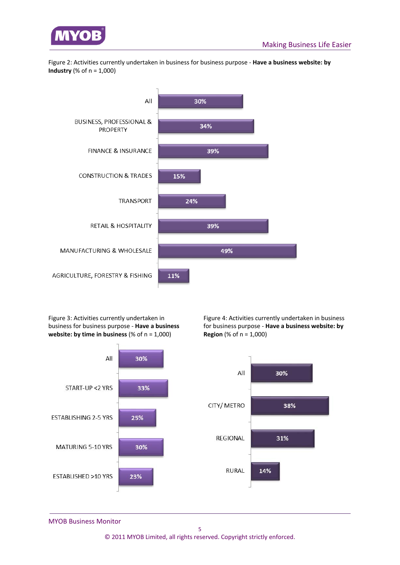

Figure 2: Activities currently undertaken in business for business purpose ‐ **Have a business website: by Industry** (% of n = 1,000)



Figure 3: Activities currently undertaken in business for business purpose ‐ **Have a business website: by time in business** (% of n = 1,000)



Figure 4: Activities currently undertaken in business for business purpose ‐ **Have a business website: by Region** (% of n = 1,000)



MYOB Business Monitor 

© 2011 MYOB Limited, all rights reserved. Copyright strictly enforced.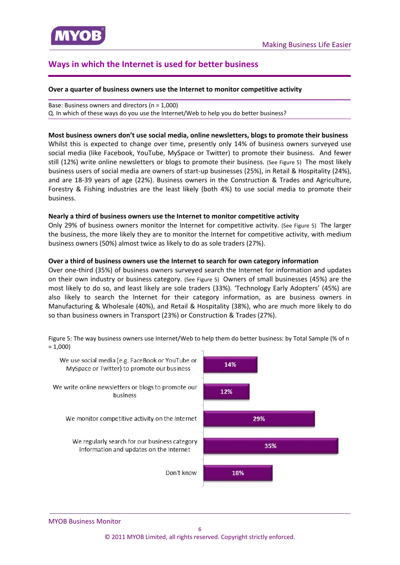<span id="page-6-0"></span>

## **Ways in which the Internet is used for better business**

#### **Over a quarter of business owners use the Internet to monitor competitive activity**

Base: Business owners and directors (n = 1,000) Q. In which of these ways do you use the Internet/Web to help you do better business?

#### **Most business owners don't use social media, online newsletters, blogs to promote their business**

Whilst this is expected to change over time, presently only 14% of business owners surveyed use social media (like Facebook, YouTube, MySpace or Twitter) to promote their business. And fewer still (12%) write online newsletters or blogs to promote their business. (See Figure 5) The most likely business users of social media are owners of start‐up businesses (25%), in Retail & Hospitality (24%), and are 18‐39 years of age (22%). Business owners in the Construction & Trades and Agriculture, Forestry & Fishing industries are the least likely (both 4%) to use social media to promote their business.

#### **Nearly a third of business owners use the Internet to monitor competitive activity**

Only 29% of business owners monitor the Internet for competitive activity. (See Figure 5) The larger the business, the more likely they are to monitor the Internet for competitive activity, with medium business owners (50%) almost twice as likely to do as sole traders (27%).

#### **Over a third of business owners use the Internet to search for own category information**

Over one-third (35%) of business owners surveyed search the Internet for information and updates on their own industry or business category. (See Figure 5) Owners of small businesses (45%) are the most likely to do so, and least likely are sole traders (33%). 'Technology Early Adopters' (45%) are also likely to search the Internet for their category information, as are business owners in Manufacturing & Wholesale (40%), and Retail & Hospitality (38%), who are much more likely to do so than business owners in Transport (23%) or Construction & Trades (27%).

Figure 5: The way business owners use Internet/Web to help them do better business: by Total Sample (% of n = 1,000)

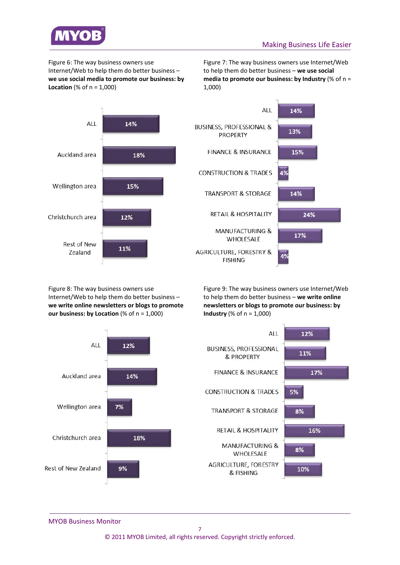

Figure 6: The way business owners use Internet/Web to help them do better business – **we use social media to promote our business: by Location** (% of  $n = 1,000$ )

Figure 7: The way business owners use Internet/Web to help them do better business – **we use social media to promote our business: by Industry** (% of n = 1,000)



Figure 8: The way business owners use Internet/Web to help them do better business – **we write online newsletters or blogs to promote our business: by Location** (% of n = 1,000)

Figure 9: The way business owners use Internet/Web to help them do better business – **we write online newsletters or blogs to promote our business: by Industry** (% of n = 1,000)





MYOB Business Monitor 

© 2011 MYOB Limited, all rights reserved. Copyright strictly enforced.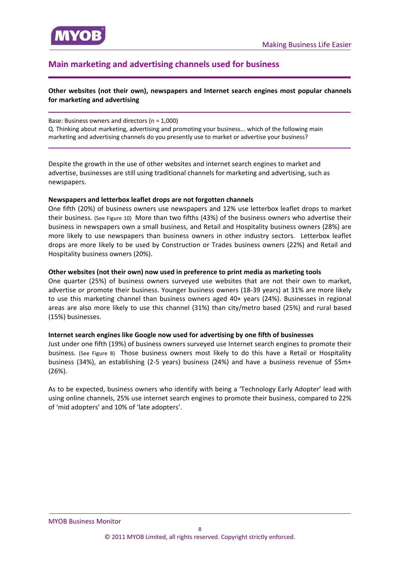<span id="page-8-0"></span>

## **Main marketing and advertising channels used for business**

#### **Other websites (not their own), newspapers and Internet search engines most popular channels for marketing and advertising**

Base: Business owners and directors (n = 1,000) Q. Thinking about marketing, advertising and promoting your business... which of the following main marketing and advertising channels do you presently use to market or advertise your business?

Despite the growth in the use of other websites and internet search engines to market and advertise, businesses are still using traditional channels for marketing and advertising, such as newspapers.

#### **Newspapers and letterbox leaflet drops are not forgotten channels**

One fifth (20%) of business owners use newspapers and 12% use letterbox leaflet drops to market their business. (See Figure 10) More than two fifths (43%) of the business owners who advertise their business in newspapers own a small business, and Retail and Hospitality business owners (28%) are more likely to use newspapers than business owners in other industry sectors. Letterbox leaflet drops are more likely to be used by Construction or Trades business owners (22%) and Retail and Hospitality business owners (20%).

#### **Other websites (not their own) now used in preference to print media as marketing tools**

One quarter (25%) of business owners surveyed use websites that are not their own to market, advertise or promote their business. Younger business owners (18‐39 years) at 31% are more likely to use this marketing channel than business owners aged 40+ years (24%). Businesses in regional areas are also more likely to use this channel (31%) than city/metro based (25%) and rural based (15%) businesses.

#### **Internet search engines like Google now used for advertising by one fifth of businesses**

Just under one fifth (19%) of business owners surveyed use Internet search engines to promote their business. (See Figure 8) Those business owners most likely to do this have a Retail or Hospitality business (34%), an establishing (2‐5 years) business (24%) and have a business revenue of \$5m+ (26%).

As to be expected, business owners who identify with being a 'Technology Early Adopter' lead with using online channels, 25% use internet search engines to promote their business, compared to 22% of 'mid adopters' and 10% of 'late adopters'.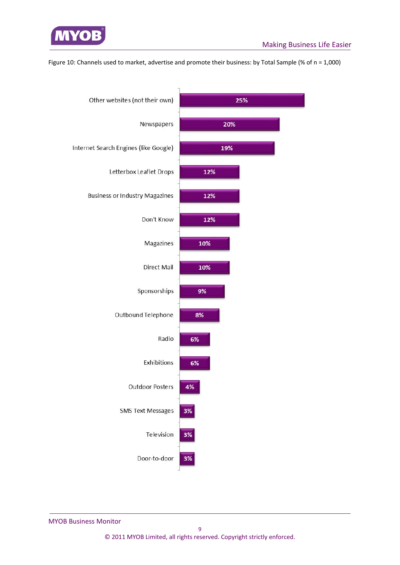

Figure 10: Channels used to market, advertise and promote their business: by Total Sample (% of n = 1,000)

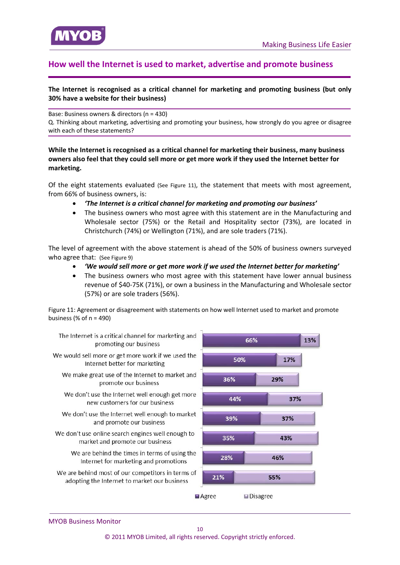## <span id="page-10-0"></span>**How well the Internet is used to market, advertise and promote business**

**The Internet is recognised as a critical channel for marketing and promoting business (but only 30% have a website for their business)**

Base: Business owners & directors (n = 430)

Q. Thinking about marketing, advertising and promoting your business, how strongly do you agree or disagree with each of these statements?

**While the Internet is recognised as a critical channel for marketing their business, many business** owners also feel that they could sell more or get more work if they used the Internet better for **marketing.**

Of the eight statements evaluated (See Figure 11), the statement that meets with most agreement, from 66% of business owners, is:

- *'The Internet is a critical channel for marketing and promoting our business'*
- The business owners who most agree with this statement are in the Manufacturing and Wholesale sector (75%) or the Retail and Hospitality sector (73%), are located in Christchurch (74%) or Wellington (71%), and are sole traders (71%).

The level of agreement with the above statement is ahead of the 50% of business owners surveyed who agree that: (See Figure 9)

- *'We would sell more or get more work if we used the Internet better for marketing'*
- The business owners who most agree with this statement have lower annual business revenue of \$40‐75K (71%), or own a business in the Manufacturing and Wholesale sector (57%) or are sole traders (56%).

Figure 11: Agreement or disagreement with statements on how well Internet used to market and promote business (% of  $n = 490$ )